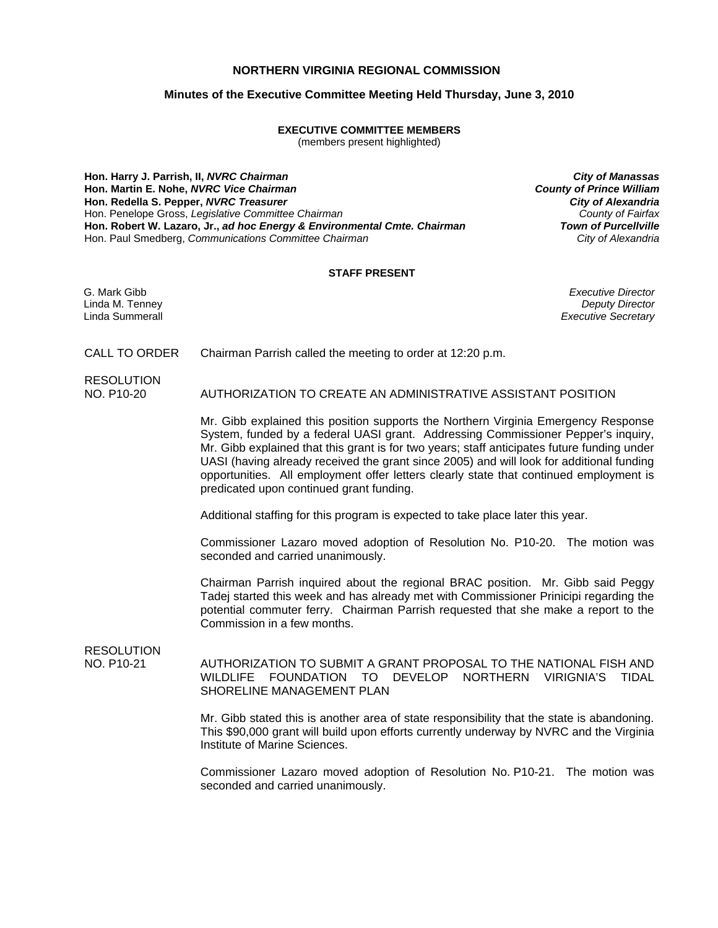## **NORTHERN VIRGINIA REGIONAL COMMISSION**

## **Minutes of the Executive Committee Meeting Held Thursday, June 3, 2010**

## **EXECUTIVE COMMITTEE MEMBERS**

(members present highlighted)

**Hon. Harry J. Parrish, II,** *NVRC Chairman City of Manassas* **Hon. Martin E. Nohe,** *NVRC Vice Chairman* **Hon. Redella S. Pepper,** *NVRC Treasurer City of Alexandria* Hon. Penelope Gross, Legislative Committee Chairman **Hon. Robert W. Lazaro, Jr.,** *ad hoc Energy & Environmental Cmte. Chairman Town of Purcellville* Hon. Paul Smedberg, *Communications Committee Chairman* 

## **STAFF PRESENT**

G. Mark Gibb *Executive Director* Linda M. Tenney *Deputy Director* **Executive Secretary** 

CALL TO ORDER Chairman Parrish called the meeting to order at 12:20 p.m.

RESOLUTION

NO. P10-20 AUTHORIZATION TO CREATE AN ADMINISTRATIVE ASSISTANT POSITION

 Mr. Gibb explained this position supports the Northern Virginia Emergency Response System, funded by a federal UASI grant. Addressing Commissioner Pepper's inquiry, Mr. Gibb explained that this grant is for two years; staff anticipates future funding under UASI (having already received the grant since 2005) and will look for additional funding opportunities. All employment offer letters clearly state that continued employment is predicated upon continued grant funding.

Additional staffing for this program is expected to take place later this year.

 Commissioner Lazaro moved adoption of Resolution No. P10-20. The motion was seconded and carried unanimously.

 Chairman Parrish inquired about the regional BRAC position. Mr. Gibb said Peggy Tadej started this week and has already met with Commissioner Prinicipi regarding the potential commuter ferry. Chairman Parrish requested that she make a report to the Commission in a few months.

# RESOLUTION<br>NO. P10-21

AUTHORIZATION TO SUBMIT A GRANT PROPOSAL TO THE NATIONAL FISH AND WILDLIFE FOUNDATION TO DEVELOP NORTHERN VIRIGNIA'S TIDAL SHORELINE MANAGEMENT PLAN

 Mr. Gibb stated this is another area of state responsibility that the state is abandoning. This \$90,000 grant will build upon efforts currently underway by NVRC and the Virginia Institute of Marine Sciences.

 Commissioner Lazaro moved adoption of Resolution No. P10-21. The motion was seconded and carried unanimously.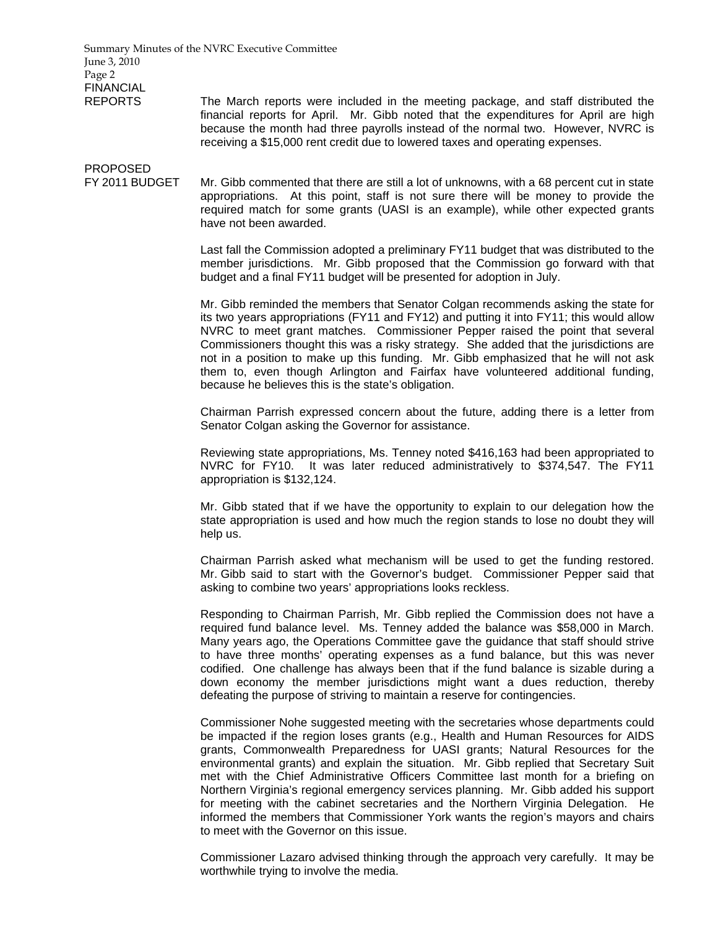Summary Minutes of the NVRC Executive Committee June 3, 2010 Page 2 FINANCIAL REPORTS The March reports were included in the meeting package, and staff distributed the financial reports for April. Mr. Gibb noted that the expenditures for April are high because the month had three payrolls instead of the normal two. However, NVRC is receiving a \$15,000 rent credit due to lowered taxes and operating expenses. PROPOSED FY 2011 BUDGET Mr. Gibb commented that there are still a lot of unknowns, with a 68 percent cut in state appropriations. At this point, staff is not sure there will be money to provide the required match for some grants (UASI is an example), while other expected grants have not been awarded. Last fall the Commission adopted a preliminary FY11 budget that was distributed to the member jurisdictions. Mr. Gibb proposed that the Commission go forward with that budget and a final FY11 budget will be presented for adoption in July. Mr. Gibb reminded the members that Senator Colgan recommends asking the state for its two years appropriations (FY11 and FY12) and putting it into FY11; this would allow NVRC to meet grant matches. Commissioner Pepper raised the point that several Commissioners thought this was a risky strategy. She added that the jurisdictions are not in a position to make up this funding. Mr. Gibb emphasized that he will not ask them to, even though Arlington and Fairfax have volunteered additional funding, because he believes this is the state's obligation. Chairman Parrish expressed concern about the future, adding there is a letter from Senator Colgan asking the Governor for assistance. Reviewing state appropriations, Ms. Tenney noted \$416,163 had been appropriated to NVRC for FY10. It was later reduced administratively to \$374,547. The FY11 appropriation is \$132,124. Mr. Gibb stated that if we have the opportunity to explain to our delegation how the state appropriation is used and how much the region stands to lose no doubt they will help us. Chairman Parrish asked what mechanism will be used to get the funding restored. Mr. Gibb said to start with the Governor's budget. Commissioner Pepper said that asking to combine two years' appropriations looks reckless. Responding to Chairman Parrish, Mr. Gibb replied the Commission does not have a required fund balance level. Ms. Tenney added the balance was \$58,000 in March. Many years ago, the Operations Committee gave the guidance that staff should strive to have three months' operating expenses as a fund balance, but this was never codified. One challenge has always been that if the fund balance is sizable during a down economy the member jurisdictions might want a dues reduction, thereby defeating the purpose of striving to maintain a reserve for contingencies. Commissioner Nohe suggested meeting with the secretaries whose departments could be impacted if the region loses grants (e.g., Health and Human Resources for AIDS grants, Commonwealth Preparedness for UASI grants; Natural Resources for the environmental grants) and explain the situation. Mr. Gibb replied that Secretary Suit met with the Chief Administrative Officers Committee last month for a briefing on Northern Virginia's regional emergency services planning. Mr. Gibb added his support for meeting with the cabinet secretaries and the Northern Virginia Delegation. He informed the members that Commissioner York wants the region's mayors and chairs to meet with the Governor on this issue.

> Commissioner Lazaro advised thinking through the approach very carefully. It may be worthwhile trying to involve the media.